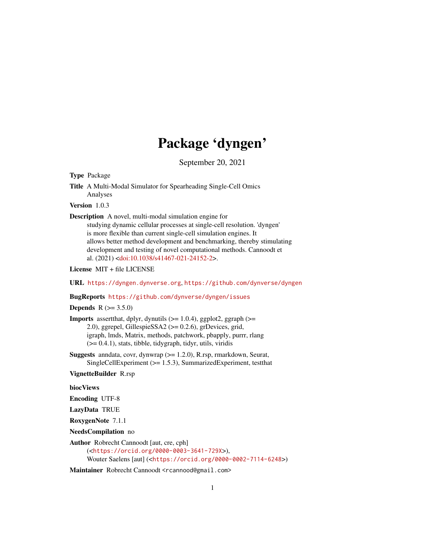# Package 'dyngen'

September 20, 2021

<span id="page-0-0"></span>Type Package

Title A Multi-Modal Simulator for Spearheading Single-Cell Omics Analyses

Version 1.0.3

Description A novel, multi-modal simulation engine for

studying dynamic cellular processes at single-cell resolution. 'dyngen' is more flexible than current single-cell simulation engines. It allows better method development and benchmarking, thereby stimulating development and testing of novel computational methods. Cannoodt et al. (2021) [<doi:10.1038/s41467-021-24152-2>](https://doi.org/10.1038/s41467-021-24152-2).

License MIT + file LICENSE

URL <https://dyngen.dynverse.org>, <https://github.com/dynverse/dyngen>

BugReports <https://github.com/dynverse/dyngen/issues>

**Depends**  $R (= 3.5.0)$ 

**Imports** assert that, dplyr, dynutils  $(>= 1.0.4)$ , ggplot 2, ggraph  $(>= 1.0.4)$ 2.0), ggrepel, GillespieSSA2 (>= 0.2.6), grDevices, grid, igraph, lmds, Matrix, methods, patchwork, pbapply, purrr, rlang (>= 0.4.1), stats, tibble, tidygraph, tidyr, utils, viridis

Suggests anndata, covr, dynwrap (>= 1.2.0), R.rsp, rmarkdown, Seurat, SingleCellExperiment (>= 1.5.3), SummarizedExperiment, testthat

VignetteBuilder R.rsp

biocViews

Encoding UTF-8

LazyData TRUE

RoxygenNote 7.1.1

NeedsCompilation no

Author Robrecht Cannoodt [aut, cre, cph] (<<https://orcid.org/0000-0003-3641-729X>>), Wouter Saelens [aut] (<<https://orcid.org/0000-0002-7114-6248>>)

Maintainer Robrecht Cannoodt <rcannood@gmail.com>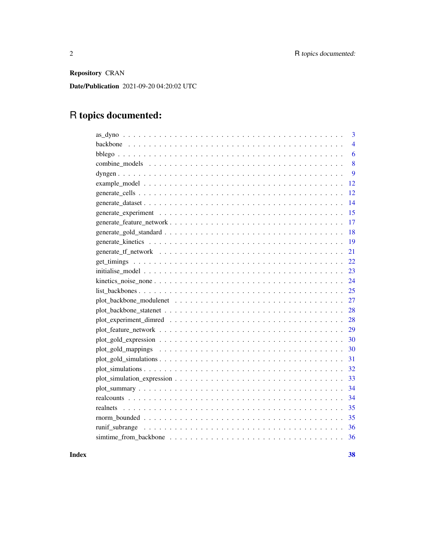Repository CRAN

Date/Publication 2021-09-20 04:20:02 UTC

## R topics documented:

| 3              |
|----------------|
| $\overline{4}$ |
| 6              |
| 8              |
| 9              |
| 12             |
| 12             |
| 14             |
| 15             |
| 17             |
| 18             |
| 19             |
| 21             |
|                |
| 23             |
|                |
|                |
| 27             |
|                |
| 28             |
| 29             |
| 30             |
| 30             |
| 31             |
|                |
|                |
|                |
| 34             |
|                |
|                |
|                |
|                |

**Index** [38](#page-37-0)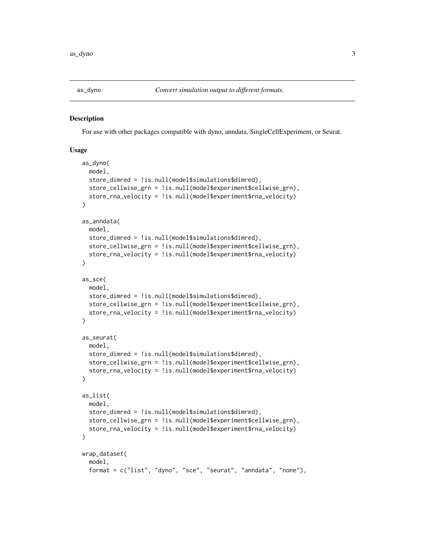<span id="page-2-2"></span><span id="page-2-1"></span><span id="page-2-0"></span>

For use with other packages compatible with dyno, anndata, SingleCellExperiment, or Seurat.

```
as_dyno(
 model,
  store_dimred = !is.null(model$simulations$dimred),
  store_cellwise_grn = !is.null(model$experiment$cellwise_grn),
  store_rna_velocity = !is.null(model$experiment$rna_velocity)
)
as_anndata(
 model,
  store_dimred = !is.null(model$simulations$dimred),
  store_cellwise_grn = !is.null(model$experiment$cellwise_grn),
  store_rna_velocity = !is.null(model$experiment$rna_velocity)
)
as_sce(
 model,
  store_dimred = !is.null(model$simulations$dimred),
  store_cellwise_grn = !is.null(model$experiment$cellwise_grn),
  store_rna_velocity = !is.null(model$experiment$rna_velocity)
\lambdaas_seurat(
 model,
  store_dimred = !is.null(model$simulations$dimred),
  store_cellwise_grn = !is.null(model$experiment$cellwise_grn),
  store_rna_velocity = !is.null(model$experiment$rna_velocity)
)
as_list(
 model,
  store_dimred = !is.null(model$simulations$dimred),
  store_cellwise_grn = !is.null(model$experiment$cellwise_grn),
  store_rna_velocity = !is.null(model$experiment$rna_velocity)
)
wrap_dataset(
  model,
  format = c("list", "dyno", "sce", "seurat", "anndata", "none"),
```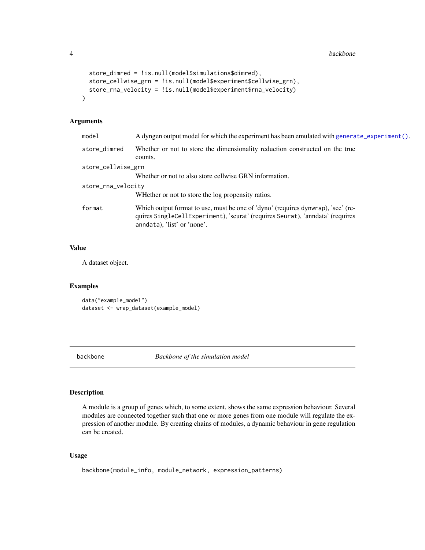```
store_dimred = !is.null(model$simulations$dimred),
 store_cellwise_grn = !is.null(model$experiment$cellwise_grn),
 store_rna_velocity = !is.null(model$experiment$rna_velocity)
)
```
#### Arguments

| model              | A dyngen output model for which the experiment has been emulated with generate_experiment().                                                                                                     |  |
|--------------------|--------------------------------------------------------------------------------------------------------------------------------------------------------------------------------------------------|--|
| store_dimred       | Whether or not to store the dimensionality reduction constructed on the true<br>counts.                                                                                                          |  |
| store_cellwise_grn |                                                                                                                                                                                                  |  |
|                    | Whether or not to also store cellwise GRN information.                                                                                                                                           |  |
| store_rna_velocity |                                                                                                                                                                                                  |  |
|                    | WHether or not to store the log propensity ratios.                                                                                                                                               |  |
| format             | Which output format to use, must be one of 'dyno' (requires dynwrap), 'sce' (re-<br>quires SingleCellExperiment), 'seurat' (requires Seurat), 'anndata' (requires<br>anndata), 'list' or 'none'. |  |
|                    |                                                                                                                                                                                                  |  |

## Value

A dataset object.

#### Examples

data("example\_model") dataset <- wrap\_dataset(example\_model)

<span id="page-3-1"></span>backbone *Backbone of the simulation model*

#### Description

A module is a group of genes which, to some extent, shows the same expression behaviour. Several modules are connected together such that one or more genes from one module will regulate the expression of another module. By creating chains of modules, a dynamic behaviour in gene regulation can be created.

```
backbone(module_info, module_network, expression_patterns)
```
<span id="page-3-0"></span>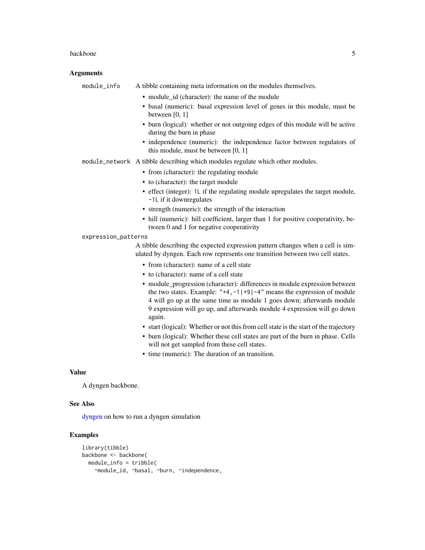#### <span id="page-4-0"></span>backbone 5

#### Arguments

module\_info A tibble containing meta information on the modules themselves. • module id (character): the name of the module • basal (numeric): basal expression level of genes in this module, must be between [0, 1] • burn (logical): whether or not outgoing edges of this module will be active during the burn in phase • independence (numeric): the independence factor between regulators of this module, must be between [0, 1] module\_network A tibble describing which modules regulate which other modules. • from (character): the regulating module • to (character): the target module • effect (integer): 1L if the regulating module upregulates the target module, -1L if it downregulates • strength (numeric): the strength of the interaction • hill (numeric): hill coefficient, larger than 1 for positive cooperativity, between 0 and 1 for negative cooperativity expression\_patterns A tibble describing the expected expression pattern changes when a cell is simulated by dyngen. Each row represents one transition between two cell states. • from (character): name of a cell state • to (character): name of a cell state • module progression (character): differences in module expression between the two states. Example: " $+4$ ,  $-1$ | $+9$ | $-4$ " means the expression of module 4 will go up at the same time as module 1 goes down; afterwards module 9 expression will go up, and afterwards module 4 expression will go down again. • start (logical): Whether or not this from cell state is the start of the trajectory • burn (logical): Whether these cell states are part of the burn in phase. Cells will not get sampled from these cell states. • time (numeric): The duration of an transition. Value

A dyngen backbone.

## See Also

[dyngen](#page-8-1) on how to run a dyngen simulation

```
library(tibble)
backbone <- backbone(
 module_info = tribble(
   ~module_id, ~basal, ~burn, ~independence,
```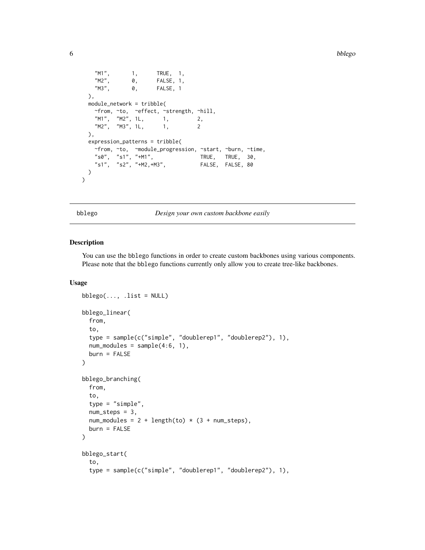```
"M1", 1, TRUE, 1,
   "M2", 0, FALSE, 1,<br>"M3", 0, FALSE, 1
             0, FALSE, 1
 ),
 module_network = tribble(
   ~from, ~to, ~effect, ~strength, ~hill,
   "M1", "M2", 1L, 1, 2,
   "M2", "M3", 1L, 1, 2
 ),
 expression_patterns = tribble(
   ~from, ~to, ~module_progression, ~start, ~burn, ~time,
   "s0", "s1", "+M1", TRUE, TRUE, 30,
   "s1", "s2", "+M2,+M3", FALSE, FALSE, 80
 )
\mathcal{L}
```
<span id="page-5-1"></span>bblego *Design your own custom backbone easily*

## <span id="page-5-2"></span>Description

You can use the bblego functions in order to create custom backbones using various components. Please note that the bblego functions currently only allow you to create tree-like backbones.

```
bblego(..., .list = NULL)bblego_linear(
  from,
  to,
  type = sample(c("simple", "doublerep1", "doublerep2"), 1),
  num_modelles = sample(4:6, 1),burn = FALSE
)
bblego_branching(
  from,
  to,
  type = "simple",
  num\_steps = 3,
  num_modules = 2 + length(to) * (3 + num\_steps),
  burn = FALSE
)
bblego_start(
  to,
  type = sample(c("simple", "doublerep1", "doublerep2"), 1),
```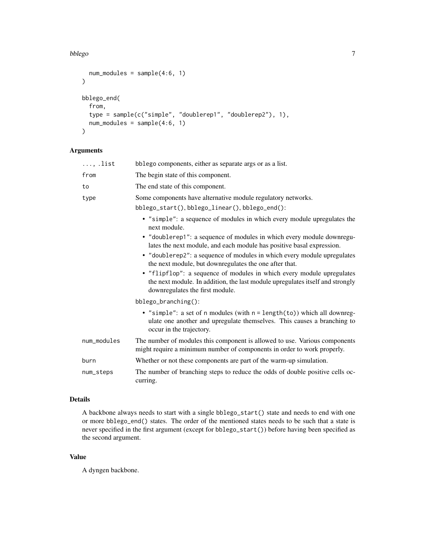#### bblego 7

```
num_modules = sample(4:6, 1)\mathcal{L}bblego_end(
  from,
  type = sample(c("simple", "doublerep1", "doublerep2"), 1),
  num_modules = sample(4:6, 1)
\mathcal{L}
```
## Arguments

| $\ldots$ , list | bblego components, either as separate args or as a list.                                                                                                                                  |  |
|-----------------|-------------------------------------------------------------------------------------------------------------------------------------------------------------------------------------------|--|
| from            | The begin state of this component.                                                                                                                                                        |  |
| to              | The end state of this component.                                                                                                                                                          |  |
| type            | Some components have alternative module regulatory networks.                                                                                                                              |  |
|                 | bblego_start(), bblego_linear(), bblego_end():                                                                                                                                            |  |
|                 | • "simple": a sequence of modules in which every module upregulates the<br>next module.                                                                                                   |  |
|                 | • "doublerep1": a sequence of modules in which every module downregu-<br>lates the next module, and each module has positive basal expression.                                            |  |
|                 | • "doublerep2": a sequence of modules in which every module upregulates<br>the next module, but downregulates the one after that.                                                         |  |
|                 | • "flipflop": a sequence of modules in which every module upregulates<br>the next module. In addition, the last module upregulates itself and strongly<br>downregulates the first module. |  |
|                 | bblego_branching():                                                                                                                                                                       |  |
|                 | • "simple": a set of n modules (with $n = length(to)$ ) which all downreg-<br>ulate one another and upregulate themselves. This causes a branching to<br>occur in the trajectory.         |  |
| num_modules     | The number of modules this component is allowed to use. Various components<br>might require a minimum number of components in order to work properly.                                     |  |
| burn            | Whether or not these components are part of the warm-up simulation.                                                                                                                       |  |
| num_steps       | The number of branching steps to reduce the odds of double positive cells oc-<br>curring.                                                                                                 |  |

#### Details

A backbone always needs to start with a single bblego\_start() state and needs to end with one or more bblego\_end() states. The order of the mentioned states needs to be such that a state is never specified in the first argument (except for bblego\_start()) before having been specified as the second argument.

## Value

A dyngen backbone.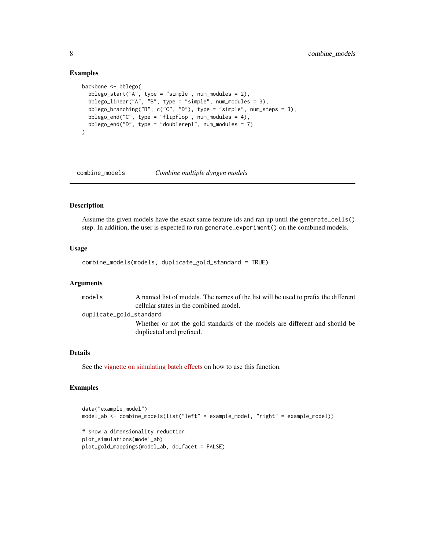#### Examples

```
backbone <- bblego(
 bblego_start("A", type = "simple", num_modules = 2),
 bblego_linear("A", "B", type = "simple", num_modules = 3),
 bblego_branching("B", c("C", "D"), type = "simple", num_steps = 3),
 bblego_end("C", type = "flipflop", num_modules = 4),
 bblego_end("D", type = "doublerep1", num_modules = 7)
\lambda
```
<span id="page-7-1"></span>combine\_models *Combine multiple dyngen models*

#### Description

Assume the given models have the exact same feature ids and ran up until the generate\_cells() step. In addition, the user is expected to run generate\_experiment() on the combined models.

#### Usage

combine\_models(models, duplicate\_gold\_standard = TRUE)

#### Arguments

models A named list of models. The names of the list will be used to prefix the different cellular states in the combined model. duplicate\_gold\_standard Whether or not the gold standards of the models are different and should be duplicated and prefixed.

## Details

See the [vignette on simulating batch effects](https://dyngen.dynverse.org/articles/advanced_topics/simulating_knockouts.html) on how to use this function.

```
data("example_model")
model_ab <- combine_models(list("left" = example_model, "right" = example_model))
# show a dimensionality reduction
plot_simulations(model_ab)
plot_gold_mappings(model_ab, do_facet = FALSE)
```
<span id="page-7-0"></span>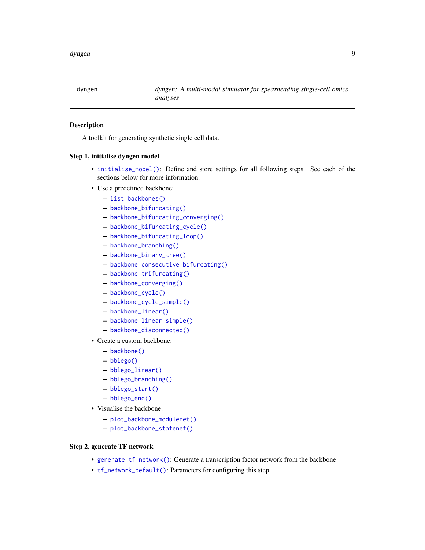<span id="page-8-1"></span><span id="page-8-0"></span>

A toolkit for generating synthetic single cell data.

#### Step 1, initialise dyngen model

- [initialise\\_model\(\)](#page-22-1): Define and store settings for all following steps. See each of the sections below for more information.
- Use a predefined backbone:
	- [list\\_backbones\(\)](#page-24-1)
	- [backbone\\_bifurcating\(\)](#page-24-2)
	- [backbone\\_bifurcating\\_converging\(\)](#page-24-2)
	- [backbone\\_bifurcating\\_cycle\(\)](#page-24-2)
	- [backbone\\_bifurcating\\_loop\(\)](#page-24-2)
	- [backbone\\_branching\(\)](#page-24-2)
	- [backbone\\_binary\\_tree\(\)](#page-24-2)
	- [backbone\\_consecutive\\_bifurcating\(\)](#page-24-2)
	- [backbone\\_trifurcating\(\)](#page-24-2)
	- [backbone\\_converging\(\)](#page-24-2)
	- [backbone\\_cycle\(\)](#page-24-2)
	- [backbone\\_cycle\\_simple\(\)](#page-24-2)
	- [backbone\\_linear\(\)](#page-24-2)
	- [backbone\\_linear\\_simple\(\)](#page-24-2)
	- [backbone\\_disconnected\(\)](#page-24-2)
- Create a custom backbone:
	- [backbone\(\)](#page-3-1)
	- [bblego\(\)](#page-5-1)
	- [bblego\\_linear\(\)](#page-5-2)
	- [bblego\\_branching\(\)](#page-5-2)
	- [bblego\\_start\(\)](#page-5-2)
	- [bblego\\_end\(\)](#page-5-2)
- Visualise the backbone:
	- [plot\\_backbone\\_modulenet\(\)](#page-26-1)
	- [plot\\_backbone\\_statenet\(\)](#page-27-1)

#### Step 2, generate TF network

- [generate\\_tf\\_network\(\)](#page-20-1): Generate a transcription factor network from the backbone
- [tf\\_network\\_default\(\)](#page-20-2): Parameters for configuring this step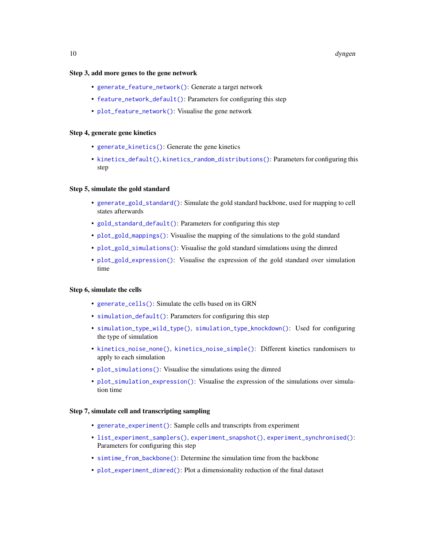#### <span id="page-9-0"></span>10 dyngen and the state of the state of the state of the state of the state of the state of the state of the state of the state of the state of the state of the state of the state of the state of the state of the state of

#### Step 3, add more genes to the gene network

- [generate\\_feature\\_network\(\)](#page-16-1): Generate a target network
- [feature\\_network\\_default\(\)](#page-16-2): Parameters for configuring this step
- [plot\\_feature\\_network\(\)](#page-28-1): Visualise the gene network

## Step 4, generate gene kinetics

- [generate\\_kinetics\(\)](#page-18-1): Generate the gene kinetics
- [kinetics\\_default\(\)](#page-18-2), [kinetics\\_random\\_distributions\(\)](#page-18-2): Parameters for configuring this step

#### Step 5, simulate the gold standard

- [generate\\_gold\\_standard\(\)](#page-17-1): Simulate the gold standard backbone, used for mapping to cell states afterwards
- [gold\\_standard\\_default\(\)](#page-17-2): Parameters for configuring this step
- [plot\\_gold\\_mappings\(\)](#page-29-1): Visualise the mapping of the simulations to the gold standard
- [plot\\_gold\\_simulations\(\)](#page-30-1): Visualise the gold standard simulations using the dimred
- [plot\\_gold\\_expression\(\)](#page-29-2): Visualise the expression of the gold standard over simulation time

#### Step 6, simulate the cells

- [generate\\_cells\(\)](#page-11-1): Simulate the cells based on its GRN
- [simulation\\_default\(\)](#page-11-2): Parameters for configuring this step
- [simulation\\_type\\_wild\\_type\(\)](#page-11-2), [simulation\\_type\\_knockdown\(\)](#page-11-2): Used for configuring the type of simulation
- [kinetics\\_noise\\_none\(\)](#page-23-1), [kinetics\\_noise\\_simple\(\)](#page-23-2): Different kinetics randomisers to apply to each simulation
- [plot\\_simulations\(\)](#page-31-1): Visualise the simulations using the dimred
- [plot\\_simulation\\_expression\(\)](#page-32-1): Visualise the expression of the simulations over simulation time

#### Step 7, simulate cell and transcripting sampling

- [generate\\_experiment\(\)](#page-14-1): Sample cells and transcripts from experiment
- [list\\_experiment\\_samplers\(\)](#page-14-2), [experiment\\_snapshot\(\)](#page-14-2), [experiment\\_synchronised\(\)](#page-14-2): Parameters for configuring this step
- [simtime\\_from\\_backbone\(\)](#page-35-1): Determine the simulation time from the backbone
- [plot\\_experiment\\_dimred\(\)](#page-27-2): Plot a dimensionality reduction of the final dataset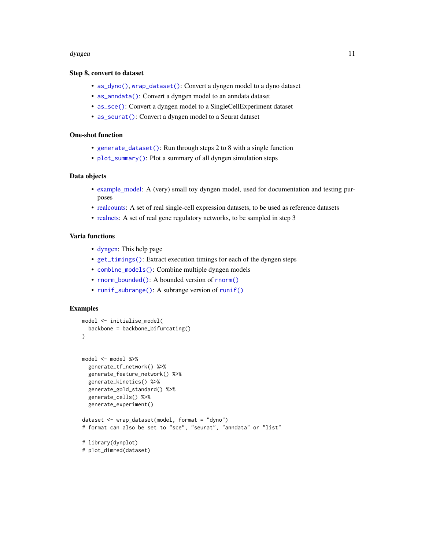#### <span id="page-10-0"></span>dyngen 11

#### Step 8, convert to dataset

- [as\\_dyno\(\)](#page-2-1), [wrap\\_dataset\(\)](#page-2-2): Convert a dyngen model to a dyno dataset
- [as\\_anndata\(\)](#page-2-2): Convert a dyngen model to an anndata dataset
- [as\\_sce\(\)](#page-2-2): Convert a dyngen model to a SingleCellExperiment dataset
- [as\\_seurat\(\)](#page-2-2): Convert a dyngen model to a Seurat dataset

## One-shot function

- [generate\\_dataset\(\)](#page-13-1): Run through steps 2 to 8 with a single function
- [plot\\_summary\(\)](#page-33-1): Plot a summary of all dyngen simulation steps

## Data objects

- [example\\_model:](#page-11-3) A (very) small toy dyngen model, used for documentation and testing purposes
- [realcounts:](#page-33-2) A set of real single-cell expression datasets, to be used as reference datasets
- [realnets:](#page-34-1) A set of real gene regulatory networks, to be sampled in step 3

#### Varia functions

- [dyngen:](#page-8-1) This help page
- [get\\_timings\(\)](#page-21-1): Extract execution timings for each of the dyngen steps
- [combine\\_models\(\)](#page-7-1): Combine multiple dyngen models
- [rnorm\\_bounded\(\)](#page-34-2): A bounded version of [rnorm\(\)](#page-0-0)
- [runif\\_subrange\(\)](#page-35-2): A subrange version of [runif\(\)](#page-0-0)

```
model <- initialise_model(
 backbone = backbone_bifurcating()
\mathcal{L}model <- model %>%
 generate_tf_network() %>%
 generate_feature_network() %>%
 generate_kinetics() %>%
 generate_gold_standard() %>%
 generate_cells() %>%
 generate_experiment()
dataset <- wrap_dataset(model, format = "dyno")
# format can also be set to "sce", "seurat", "anndata" or "list"
# library(dynplot)
# plot_dimred(dataset)
```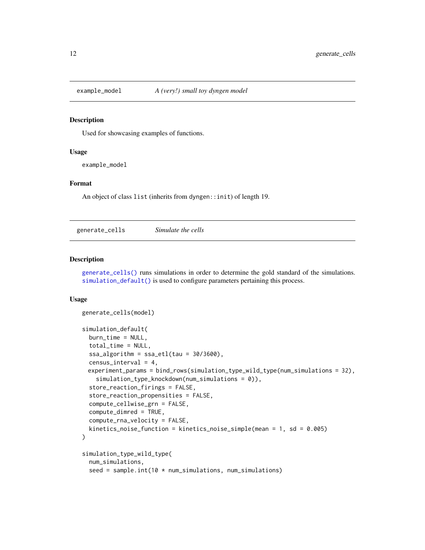<span id="page-11-3"></span><span id="page-11-0"></span>

Used for showcasing examples of functions.

#### Usage

example\_model

#### Format

An object of class list (inherits from dyngen::init) of length 19.

<span id="page-11-1"></span>generate\_cells *Simulate the cells*

#### <span id="page-11-2"></span>Description

[generate\\_cells\(\)](#page-11-1) runs simulations in order to determine the gold standard of the simulations. [simulation\\_default\(\)](#page-11-2) is used to configure parameters pertaining this process.

```
generate_cells(model)
simulation_default(
 burn_time = NULL,
  total_time = NULL,
  ssa\_algorithm = ssa\_etl(tau = 30/3600),
  census_interval = 4,
 experiment_params = bind_rows(simulation_type_wild_type(num_simulations = 32),
    simulation_type_knockdown(num_simulations = 0)),
  store_reaction_firings = FALSE,
  store_reaction_propensities = FALSE,
  compute_cellwise_grn = FALSE,
  compute_dimred = TRUE,
  compute_rna_velocity = FALSE,
  kinetics_noise_function = kinetics_noise_simple(mean = 1, sd = 0.005)
)
simulation_type_wild_type(
  num_simulations,
  seed = sample.int(10 * num_simulations, num_simulations)
```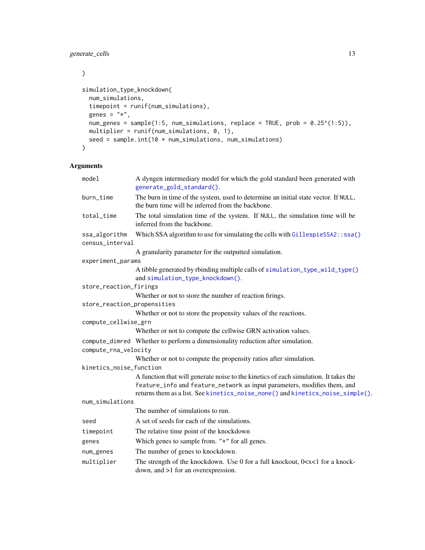<span id="page-12-0"></span> $\mathcal{L}$ 

```
simulation_type_knockdown(
 num_simulations,
  timepoint = runif(num_simulations),
  genes = "*",
 num_genes = sample(1:5, num_simulations, replace = TRUE, prob = 0.25^(1:5)),
 multiplier = runif(num\_simulations, 0, 1),
 seed = sample.int(10 * num_simulations, num_simulations)
\mathcal{L}
```
## Arguments

| model                       | A dyngen intermediary model for which the gold standard been generated with<br>generate_gold_standard().                                                         |
|-----------------------------|------------------------------------------------------------------------------------------------------------------------------------------------------------------|
| burn_time                   | The burn in time of the system, used to determine an initial state vector. If NULL,<br>the burn time will be inferred from the backbone.                         |
| total_time                  | The total simulation time of the system. If NULL, the simulation time will be<br>inferred from the backbone.                                                     |
| ssa_algorithm               | Which SSA algorithm to use for simulating the cells with GillespieSSA2:: ssa()                                                                                   |
| census_interval             |                                                                                                                                                                  |
|                             | A granularity parameter for the outputted simulation.                                                                                                            |
| experiment_params           |                                                                                                                                                                  |
|                             | A tibble generated by rbinding multiple calls of simulation_type_wild_type()<br>and simulation_type_knockdown().                                                 |
| store_reaction_firings      |                                                                                                                                                                  |
|                             | Whether or not to store the number of reaction firings.                                                                                                          |
| store_reaction_propensities |                                                                                                                                                                  |
|                             | Whether or not to store the propensity values of the reactions.                                                                                                  |
| compute_cellwise_grn        |                                                                                                                                                                  |
|                             | Whether or not to compute the cellwise GRN activation values.                                                                                                    |
|                             | compute_dimred Whether to perform a dimensionality reduction after simulation.                                                                                   |
| compute_rna_velocity        |                                                                                                                                                                  |
|                             | Whether or not to compute the propensity ratios after simulation.                                                                                                |
| kinetics_noise_function     |                                                                                                                                                                  |
|                             | A function that will generate noise to the kinetics of each simulation. It takes the<br>feature_info and feature_network as input parameters, modifies them, and |
| num_simulations             | returns them as a list. See kinetics_noise_none() and kinetics_noise_simple().                                                                                   |
|                             | The number of simulations to run.                                                                                                                                |
|                             | A set of seeds for each of the simulations.                                                                                                                      |
| seed                        |                                                                                                                                                                  |
| timepoint                   | The relative time point of the knockdown                                                                                                                         |
| genes                       | Which genes to sample from. "*" for all genes.                                                                                                                   |
| num_genes                   | The number of genes to knockdown.                                                                                                                                |
| multiplier                  | The strength of the knockdown. Use 0 for a full knockout, 0 <x<1 a="" for="" knock-<br="">down, and &gt;1 for an overexpression.</x<1>                           |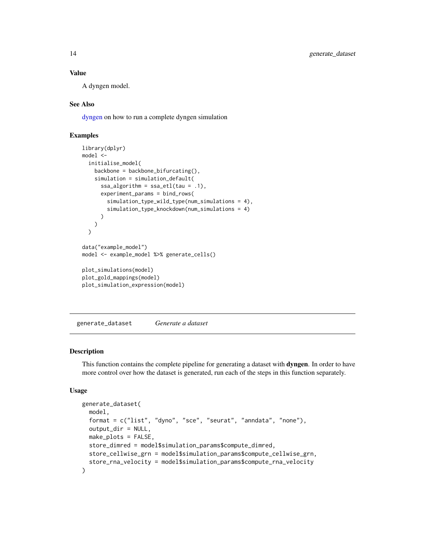## Value

A dyngen model.

#### See Also

[dyngen](#page-8-1) on how to run a complete dyngen simulation

## Examples

```
library(dplyr)
model <-
  initialise_model(
   backbone = backbone_bifurcating(),
    simulation = simulation_default(
      ssa_algorithm = ssa_etl(tau = .1),
      experiment_params = bind_rows(
        simulation_type_wild_type(num_simulations = 4),
        simulation_type_knockdown(num_simulations = 4)
      )
   )
  \lambdadata("example_model")
model <- example_model %>% generate_cells()
plot_simulations(model)
plot_gold_mappings(model)
plot_simulation_expression(model)
```
<span id="page-13-1"></span>generate\_dataset *Generate a dataset*

#### Description

This function contains the complete pipeline for generating a dataset with **dyngen**. In order to have more control over how the dataset is generated, run each of the steps in this function separately.

```
generate_dataset(
  model,
  format = c("list", "dyno", "sce", "seurat", "anndata", "none"),
  output_dir = NULL,
 make_plots = FALSE,
  store_dimred = model$simulation_params$compute_dimred,
  store_cellwise_grn = model$simulation_params$compute_cellwise_grn,
  store_rna_velocity = model$simulation_params$compute_rna_velocity
)
```
<span id="page-13-0"></span>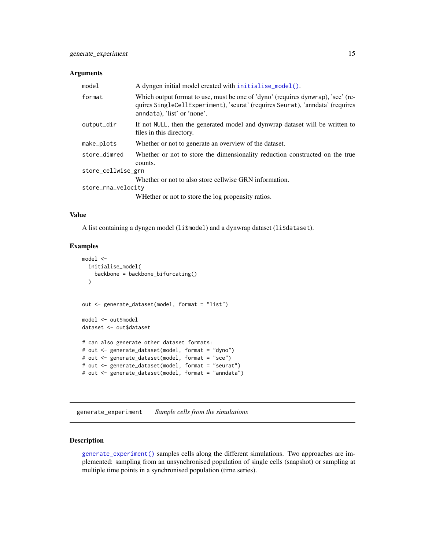#### <span id="page-14-0"></span>Arguments

| model              | A dyngen initial model created with initialise_model().                                                                                                                                          |  |
|--------------------|--------------------------------------------------------------------------------------------------------------------------------------------------------------------------------------------------|--|
| format             | Which output format to use, must be one of 'dyno' (requires dynwrap), 'sce' (re-<br>quires SingleCellExperiment), 'seurat' (requires Seurat), 'anndata' (requires<br>anndata), 'list' or 'none'. |  |
| output_dir         | If not NULL, then the generated model and dynwrap dataset will be written to<br>files in this directory.                                                                                         |  |
| make_plots         | Whether or not to generate an overview of the dataset.                                                                                                                                           |  |
| store dimred       | Whether or not to store the dimensionality reduction constructed on the true<br>counts.                                                                                                          |  |
| store_cellwise_grn |                                                                                                                                                                                                  |  |
|                    | Whether or not to also store cellwise GRN information.                                                                                                                                           |  |
| store_rna_velocity |                                                                                                                                                                                                  |  |
|                    | WHether or not to store the log propensity ratios.                                                                                                                                               |  |

#### Value

A list containing a dyngen model (li\$model) and a dynwrap dataset (li\$dataset).

#### Examples

```
model <-
  initialise_model(
   backbone = backbone_bifurcating()
  )
out <- generate_dataset(model, format = "list")
model <- out$model
dataset <- out$dataset
# can also generate other dataset formats:
# out <- generate_dataset(model, format = "dyno")
# out <- generate_dataset(model, format = "sce")
# out <- generate_dataset(model, format = "seurat")
# out <- generate_dataset(model, format = "anndata")
```
<span id="page-14-1"></span>generate\_experiment *Sample cells from the simulations*

## <span id="page-14-2"></span>Description

[generate\\_experiment\(\)](#page-14-1) samples cells along the different simulations. Two approaches are implemented: sampling from an unsynchronised population of single cells (snapshot) or sampling at multiple time points in a synchronised population (time series).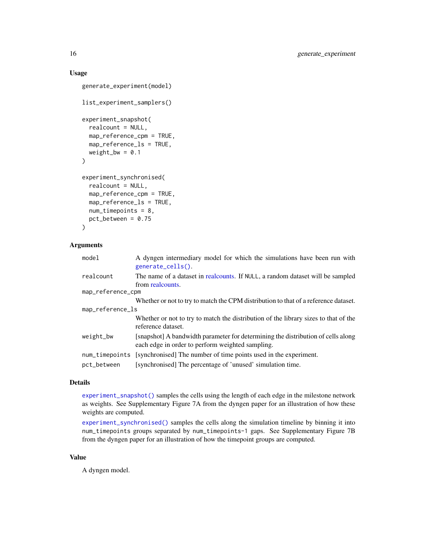## Usage

```
generate_experiment(model)
list_experiment_samplers()
experiment_snapshot(
  realcount = NULL,
 map_reference_cpm = TRUE,
 map_reference_ls = TRUE,
  weight_bw = 0.1\mathcal{L}experiment_synchronised(
  realcount = NULL,
  map_reference_cpm = TRUE,
  map_reference_ls = TRUE,
 num_timepoints = 8,
  pct_between = 0.75\lambda
```
### Arguments

| model             | A dyngen intermediary model for which the simulations have been run with<br>generate_cells().                                        |
|-------------------|--------------------------------------------------------------------------------------------------------------------------------------|
| realcount         | The name of a dataset in real counts. If NULL, a random dataset will be sampled<br>from realcounts.                                  |
| map_reference_cpm |                                                                                                                                      |
|                   | Whether or not to try to match the CPM distribution to that of a reference dataset.                                                  |
| map_reference_ls  |                                                                                                                                      |
|                   | Whether or not to try to match the distribution of the library sizes to that of the<br>reference dataset.                            |
| weight_bw         | [snapshot] A bandwidth parameter for determining the distribution of cells along<br>each edge in order to perform weighted sampling. |
| num_timepoints    | [synchronised] The number of time points used in the experiment.                                                                     |
| pct_between       | [synchronised] The percentage of 'unused' simulation time.                                                                           |

#### Details

[experiment\\_snapshot\(\)](#page-14-2) samples the cells using the length of each edge in the milestone network as weights. See Supplementary Figure 7A from the dyngen paper for an illustration of how these weights are computed.

[experiment\\_synchronised\(\)](#page-14-2) samples the cells along the simulation timeline by binning it into num\_timepoints groups separated by num\_timepoints-1 gaps. See Supplementary Figure 7B from the dyngen paper for an illustration of how the timepoint groups are computed.

## Value

A dyngen model.

<span id="page-15-0"></span>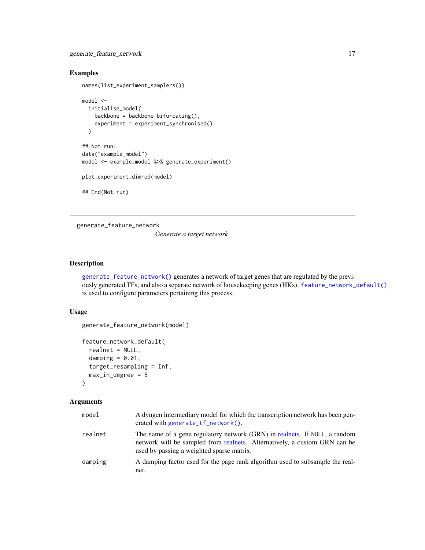<span id="page-16-0"></span>generate\_feature\_network 17

## Examples

```
names(list_experiment_samplers())
model <-
  initialise_model(
   backbone = backbone_bifurcating(),
   experiment = experiment_synchronised()
  \lambda## Not run:
data("example_model")
model <- example_model %>% generate_experiment()
plot_experiment_dimred(model)
## End(Not run)
```
<span id="page-16-1"></span>generate\_feature\_network

*Generate a target network*

## <span id="page-16-2"></span>Description

[generate\\_feature\\_network\(\)](#page-16-1) generates a network of target genes that are regulated by the previously generated TFs, and also a separate network of housekeeping genes (HKs). [feature\\_network\\_default\(\)](#page-16-2) is used to configure parameters pertaining this process.

#### Usage

```
generate_feature_network(model)
```

```
feature_network_default(
  realnet = NULL,
  damping = 0.01,
  target_resampling = Inf,
  max_in_degree = 5
\mathcal{L}
```
## Arguments

| model   | A dyngen intermediary model for which the transcription network has been gen-<br>erated with generate $tf_{\text{network}}()$ .                                                                      |
|---------|------------------------------------------------------------------------------------------------------------------------------------------------------------------------------------------------------|
| realnet | The name of a gene regulatory network (GRN) in realnets. If NULL, a random<br>network will be sampled from realnets. Alternatively, a custom GRN can be<br>used by passing a weighted sparse matrix. |
| damping | A damping factor used for the page rank algorithm used to subsample the real-<br>net.                                                                                                                |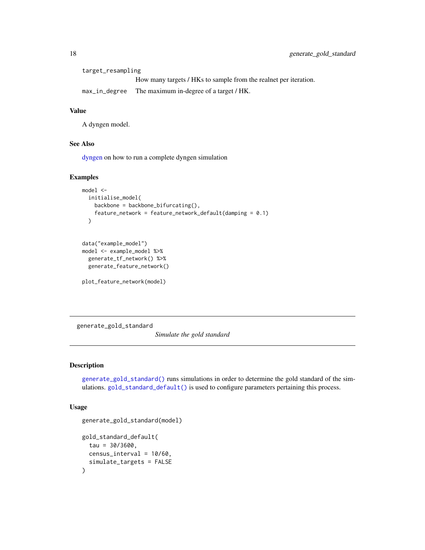<span id="page-17-0"></span>

| target_resampling |                                                                  |  |
|-------------------|------------------------------------------------------------------|--|
|                   | How many targets / HKs to sample from the realnet per iteration. |  |
| max_in_degree     | The maximum in-degree of a target / HK.                          |  |

## Value

A dyngen model.

#### See Also

[dyngen](#page-8-1) on how to run a complete dyngen simulation

#### Examples

```
model <-
  initialise_model(
   backbone = backbone_bifurcating(),
   feature_network = feature_network_default(damping = 0.1)
  )
```

```
data("example_model")
model <- example_model %>%
 generate_tf_network() %>%
 generate_feature_network()
```
plot\_feature\_network(model)

<span id="page-17-1"></span>generate\_gold\_standard

*Simulate the gold standard*

## <span id="page-17-2"></span>Description

[generate\\_gold\\_standard\(\)](#page-17-1) runs simulations in order to determine the gold standard of the simulations. [gold\\_standard\\_default\(\)](#page-17-2) is used to configure parameters pertaining this process.

```
generate_gold_standard(model)
gold_standard_default(
  tau = 30/3600,
  census_interval = 10/60,
  simulate_targets = FALSE
\mathcal{E}
```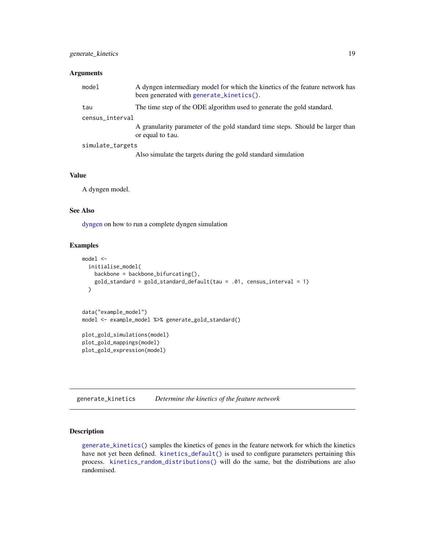#### <span id="page-18-0"></span>Arguments

| model            | A dyngen intermediary model for which the kinetics of the feature network has<br>been generated with generate_kinetics(). |
|------------------|---------------------------------------------------------------------------------------------------------------------------|
| tau              | The time step of the ODE algorithm used to generate the gold standard.                                                    |
| census_interval  |                                                                                                                           |
|                  | A granularity parameter of the gold standard time steps. Should be larger than<br>or equal to tau.                        |
| simulate_targets |                                                                                                                           |
|                  | Also simulate the targets during the gold standard simulation                                                             |

#### Value

A dyngen model.

## See Also

[dyngen](#page-8-1) on how to run a complete dyngen simulation

## Examples

```
model <-
  initialise_model(
   backbone = backbone_bifurcating(),
    gold_standard = gold_standard_default(tau = .01, census_interval = 1)
  \lambdadata("example_model")
model <- example_model %>% generate_gold_standard()
plot_gold_simulations(model)
plot_gold_mappings(model)
plot_gold_expression(model)
```
<span id="page-18-1"></span>generate\_kinetics *Determine the kinetics of the feature network*

## <span id="page-18-2"></span>Description

[generate\\_kinetics\(\)](#page-18-1) samples the kinetics of genes in the feature network for which the kinetics have not yet been defined. [kinetics\\_default\(\)](#page-18-2) is used to configure parameters pertaining this process. [kinetics\\_random\\_distributions\(\)](#page-18-2) will do the same, but the distributions are also randomised.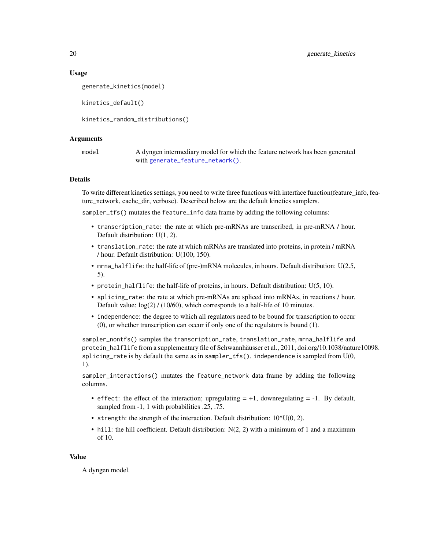#### Usage

```
generate_kinetics(model)
```
kinetics\_default()

kinetics\_random\_distributions()

#### Arguments

model A dyngen intermediary model for which the feature network has been generated with [generate\\_feature\\_network\(\)](#page-16-1).

#### Details

To write different kinetics settings, you need to write three functions with interface function(feature\_info, feature\_network, cache\_dir, verbose). Described below are the default kinetics samplers.

sampler\_tfs() mutates the feature\_info data frame by adding the following columns:

- transcription\_rate: the rate at which pre-mRNAs are transcribed, in pre-mRNA / hour. Default distribution: U(1, 2).
- translation\_rate: the rate at which mRNAs are translated into proteins, in protein / mRNA / hour. Default distribution: U(100, 150).
- mrna\_halflife: the half-life of (pre-)mRNA molecules, in hours. Default distribution: U(2.5, 5).
- protein\_halflife: the half-life of proteins, in hours. Default distribution: U(5, 10).
- splicing\_rate: the rate at which pre-mRNAs are spliced into mRNAs, in reactions / hour. Default value:  $log(2)$  / (10/60), which corresponds to a half-life of 10 minutes.
- independence: the degree to which all regulators need to be bound for transcription to occur (0), or whether transcription can occur if only one of the regulators is bound (1).

sampler\_nontfs() samples the transcription\_rate, translation\_rate, mrna\_halflife and protein\_halflife from a supplementary file of Schwannhäusser et al., 2011, doi.org/10.1038/nature10098. splicing\_rate is by default the same as in sampler\_tfs(). independence is sampled from U(0, 1).

sampler\_interactions() mutates the feature\_network data frame by adding the following columns.

- effect: the effect of the interaction; upregulating  $= +1$ , downregulating  $= -1$ . By default, sampled from -1, 1 with probabilities .25, .75.
- strength: the strength of the interaction. Default distribution:  $10^{\text{A}}U(0, 2)$ .
- hill: the hill coefficient. Default distribution:  $N(2, 2)$  with a minimum of 1 and a maximum of 10.

#### Value

A dyngen model.

<span id="page-19-0"></span>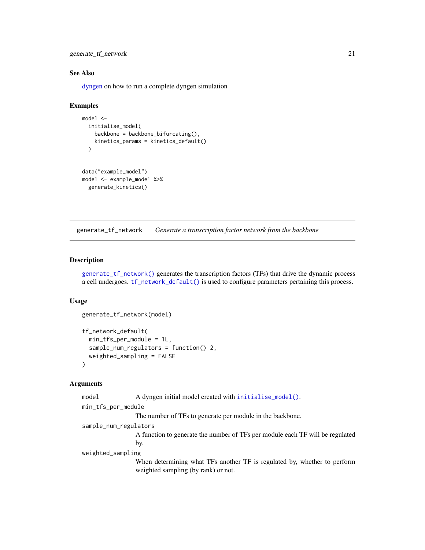<span id="page-20-0"></span>generate\_tf\_network 21

#### See Also

[dyngen](#page-8-1) on how to run a complete dyngen simulation

#### Examples

```
model <-
  initialise_model(
   backbone = backbone_bifurcating(),
   kinetics_params = kinetics_default()
  )
data("example_model")
model <- example_model %>%
  generate_kinetics()
```
<span id="page-20-1"></span>generate\_tf\_network *Generate a transcription factor network from the backbone*

#### <span id="page-20-2"></span>**Description**

[generate\\_tf\\_network\(\)](#page-20-1) generates the transcription factors (TFs) that drive the dynamic process a cell undergoes. [tf\\_network\\_default\(\)](#page-20-2) is used to configure parameters pertaining this process.

#### Usage

```
generate_tf_network(model)
```

```
tf_network_default(
 min_tfs_per_module = 1L,
  sample_num_regulators = function() 2,
 weighted_sampling = FALSE
)
```
#### Arguments

```
initialise_model().
```

```
min_tfs_per_module
```
The number of TFs to generate per module in the backbone.

```
sample_num_regulators
```
A function to generate the number of TFs per module each TF will be regulated by.

weighted\_sampling

When determining what TFs another TF is regulated by, whether to perform weighted sampling (by rank) or not.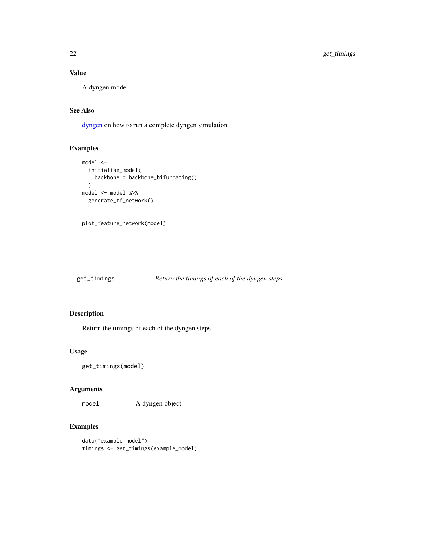## Value

A dyngen model.

## See Also

[dyngen](#page-8-1) on how to run a complete dyngen simulation

## Examples

```
model <-
  initialise_model(
    backbone = backbone_bifurcating()
  \lambdamodel <- model %>%
  generate_tf_network()
```
plot\_feature\_network(model)

## <span id="page-21-1"></span>get\_timings *Return the timings of each of the dyngen steps*

## Description

Return the timings of each of the dyngen steps

#### Usage

get\_timings(model)

## Arguments

model A dyngen object

```
data("example_model")
timings <- get_timings(example_model)
```
<span id="page-21-0"></span>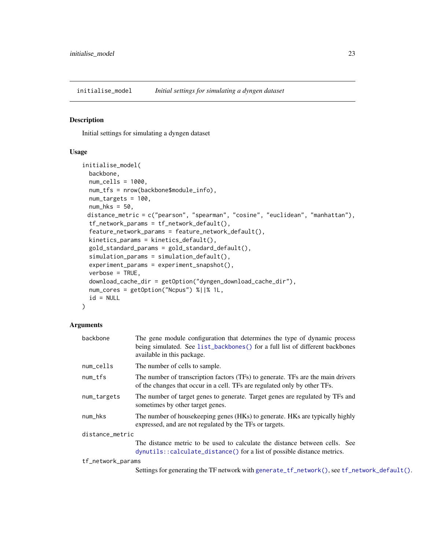<span id="page-22-1"></span><span id="page-22-0"></span>initialise\_model *Initial settings for simulating a dyngen dataset*

#### Description

Initial settings for simulating a dyngen dataset

#### Usage

```
initialise_model(
 backbone,
 num\_cells = 1000,
 num_tfs = nrow(backbone$module_info),
 num_targets = 100,
 num_hks = 50,
 distance_metric = c("pearson", "spearman", "cosine", "euclidean", "manhattan"),
  tf_network_params = tf_network_default(),
  feature_network_params = feature_network_default(),
 kinetics_params = kinetics_default(),
  gold_standard_params = gold_standard_default(),
  simulation_params = simulation_default(),
  experiment_params = experiment_snapshot(),
  verbose = TRUE,
  download_cache_dir = getOption("dyngen_download_cache_dir"),
 num_cores = getOption("Ncpus") %||% 1L,
  id = NULL)
```
#### Arguments

| backbone                          | The gene module configuration that determines the type of dynamic process<br>being simulated. See list_backbones() for a full list of different backbones<br>available in this package. |  |
|-----------------------------------|-----------------------------------------------------------------------------------------------------------------------------------------------------------------------------------------|--|
| num_cells                         | The number of cells to sample.                                                                                                                                                          |  |
| num_tfs                           | The number of transcription factors (TFs) to generate. TFs are the main drivers<br>of the changes that occur in a cell. TFs are regulated only by other TFs.                            |  |
| num_targets                       | The number of target genes to generate. Target genes are regulated by TFs and<br>sometimes by other target genes.                                                                       |  |
| num_hks                           | The number of house keeping genes (HKs) to generate. HKs are typically highly<br>expressed, and are not regulated by the TFs or targets.                                                |  |
| distance_metric                   |                                                                                                                                                                                         |  |
|                                   | The distance metric to be used to calculate the distance between cells. See<br>dynutils::calculate_distance() for a list of possible distance metrics.                                  |  |
| $\pm \mathcal{L}$ notuable papers |                                                                                                                                                                                         |  |

tf\_network\_params

Settings for generating the TF network with [generate\\_tf\\_network\(\)](#page-20-1), see [tf\\_network\\_default\(\)](#page-20-2).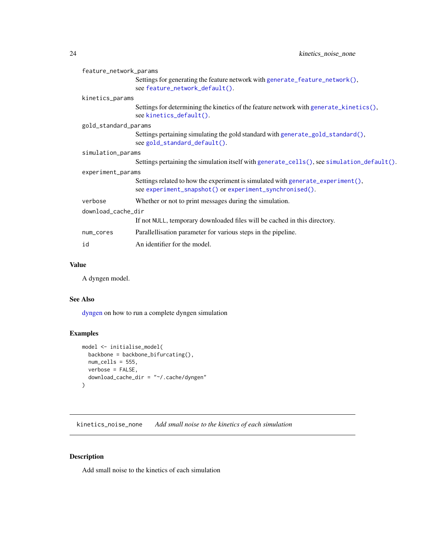<span id="page-23-0"></span>

| feature_network_params |                                                                                                                                            |  |
|------------------------|--------------------------------------------------------------------------------------------------------------------------------------------|--|
|                        | Settings for generating the feature network with generate_feature_network(),<br>see feature_network_default().                             |  |
| kinetics_params        |                                                                                                                                            |  |
|                        | Settings for determining the kinetics of the feature network with generate_kinetics(),<br>see kinetics_default().                          |  |
| gold_standard_params   |                                                                                                                                            |  |
|                        | Settings pertaining simulating the gold standard with generate_gold_standard(),<br>see gold_standard_default().                            |  |
| simulation_params      |                                                                                                                                            |  |
|                        | Settings pertaining the simulation itself with generate_cells(), see simulation_default().                                                 |  |
| experiment_params      |                                                                                                                                            |  |
|                        | Settings related to how the experiment is simulated with generate_experiment(),<br>see experiment_snapshot() or experiment_synchronised(). |  |
| verbose                | Whether or not to print messages during the simulation.                                                                                    |  |
| download_cache_dir     |                                                                                                                                            |  |
|                        | If not NULL, temporary downloaded files will be cached in this directory.                                                                  |  |
| num_cores              | Parallellisation parameter for various steps in the pipeline.                                                                              |  |
| id                     | An identifier for the model.                                                                                                               |  |

## Value

A dyngen model.

#### See Also

[dyngen](#page-8-1) on how to run a complete dyngen simulation

## Examples

```
model <- initialise_model(
  backbone = backbone_bifurcating(),
  num_cells = 555,verbose = FALSE,
  download_cache_dir = "~/.cache/dyngen"
)
```
<span id="page-23-1"></span>kinetics\_noise\_none *Add small noise to the kinetics of each simulation*

## <span id="page-23-2"></span>Description

Add small noise to the kinetics of each simulation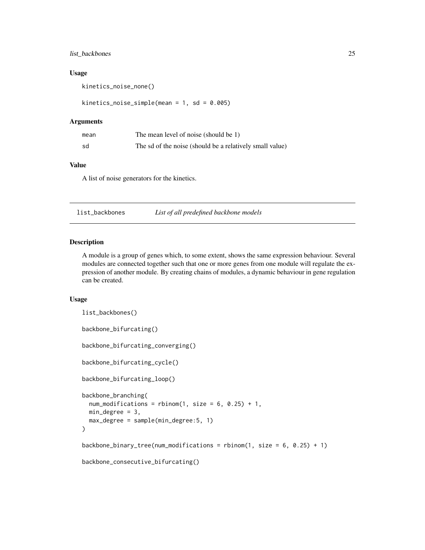#### <span id="page-24-0"></span>list\_backbones 25

#### Usage

kinetics\_noise\_none()

kinetics\_noise\_simple(mean = 1, sd = 0.005)

## Arguments

| mean | The mean level of noise (should be 1)                    |
|------|----------------------------------------------------------|
| sd   | The sd of the noise (should be a relatively small value) |

#### Value

A list of noise generators for the kinetics.

<span id="page-24-1"></span>list\_backbones *List of all predefined backbone models*

#### <span id="page-24-2"></span>Description

A module is a group of genes which, to some extent, shows the same expression behaviour. Several modules are connected together such that one or more genes from one module will regulate the expression of another module. By creating chains of modules, a dynamic behaviour in gene regulation can be created.

```
list_backbones()
backbone_bifurcating()
backbone_bifurcating_converging()
backbone_bifurcating_cycle()
backbone_bifurcating_loop()
backbone_branching(
  num_modifications = rbinom(1, size = 6, 0.25) + 1,min\_degree = 3,
 max_degree = sample(min_degree:5, 1)
\lambdabackbone_binary_tree(num_modifications = rbinom(1, size = 6, 0.25) + 1)
backbone_consecutive_bifurcating()
```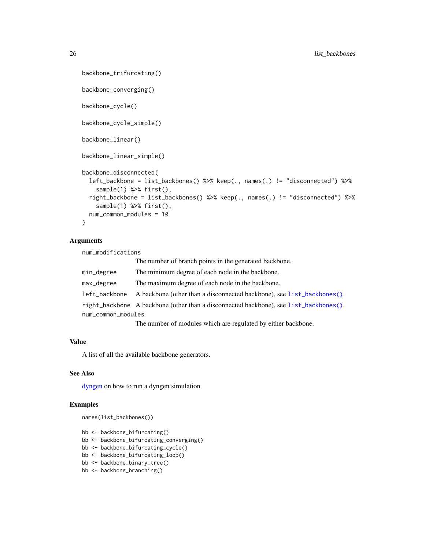```
backbone_trifurcating()
backbone_converging()
backbone_cycle()
backbone_cycle_simple()
backbone_linear()
backbone_linear_simple()
backbone_disconnected(
  left_backbone = list_backbones() %>% keep(., names(.) != "disconnected") %>%
    sample(1) %>% first(),
  right_backbone = list_backbones() %>% keep(., names(.) != "disconnected") %>%
    sample(1) %>% first(),
 num_common_modules = 10
\mathcal{L}
```
## Arguments

num\_modifications

|                    | The number of branch points in the generated backbone.                                |  |
|--------------------|---------------------------------------------------------------------------------------|--|
| min_degree         | The minimum degree of each node in the backbone.                                      |  |
| max_degree         | The maximum degree of each node in the backbone.                                      |  |
| left_backbone      | A backbone (other than a disconnected backbone), see list_backbones().                |  |
|                    | right_backbone A backbone (other than a disconnected backbone), see list_backbones(). |  |
| num_common_modules |                                                                                       |  |
|                    | The number of modules which are regulated by either backbone.                         |  |

#### Value

A list of all the available backbone generators.

## See Also

[dyngen](#page-8-1) on how to run a dyngen simulation

```
names(list_backbones())
```

```
bb <- backbone_bifurcating()
```
- bb <- backbone\_bifurcating\_converging()
- bb <- backbone\_bifurcating\_cycle()
- bb <- backbone\_bifurcating\_loop()
- bb <- backbone\_binary\_tree()
- bb <- backbone\_branching()

<span id="page-25-0"></span>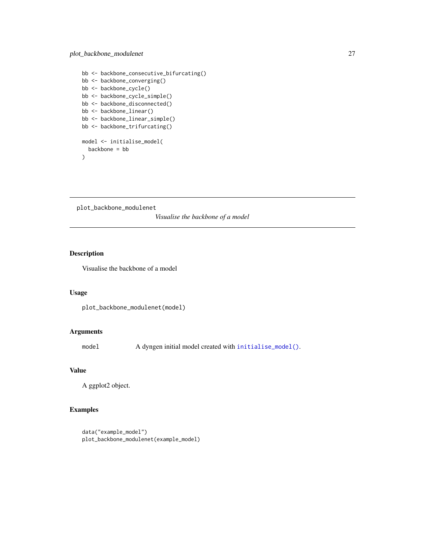```
bb <- backbone_consecutive_bifurcating()
bb <- backbone_converging()
bb <- backbone_cycle()
bb <- backbone_cycle_simple()
bb <- backbone_disconnected()
bb <- backbone_linear()
bb <- backbone_linear_simple()
bb <- backbone_trifurcating()
model <- initialise_model(
  backbone = bb
```
 $\mathcal{L}$ 

<span id="page-26-1"></span>plot\_backbone\_modulenet

*Visualise the backbone of a model*

## Description

Visualise the backbone of a model

#### Usage

```
plot_backbone_modulenet(model)
```
#### Arguments

model A dyngen initial model created with [initialise\\_model\(\)](#page-22-1).

## Value

A ggplot2 object.

```
data("example_model")
plot_backbone_modulenet(example_model)
```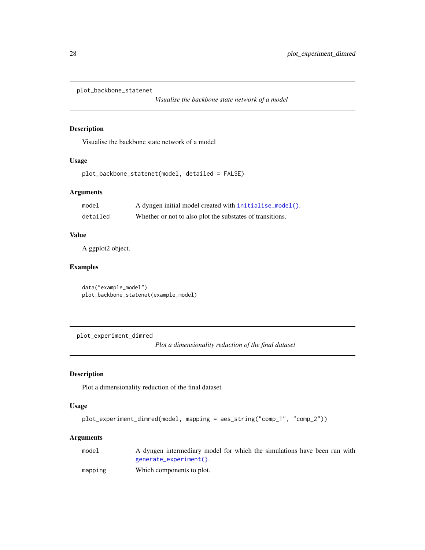<span id="page-27-1"></span><span id="page-27-0"></span>plot\_backbone\_statenet

*Visualise the backbone state network of a model*

## Description

Visualise the backbone state network of a model

## Usage

plot\_backbone\_statenet(model, detailed = FALSE)

#### Arguments

| model    | A dyngen initial model created with initialise_model().   |
|----------|-----------------------------------------------------------|
| detailed | Whether or not to also plot the substates of transitions. |

#### Value

A ggplot2 object.

## Examples

data("example\_model") plot\_backbone\_statenet(example\_model)

<span id="page-27-2"></span>plot\_experiment\_dimred

*Plot a dimensionality reduction of the final dataset*

## Description

Plot a dimensionality reduction of the final dataset

## Usage

```
plot_experiment_dimred(model, mapping = aes_string("comp_1", "comp_2"))
```
#### Arguments

| model | A dyngen intermediary model for which the simulations have been run with |
|-------|--------------------------------------------------------------------------|
|       | generate_experiment().                                                   |
|       |                                                                          |

```
mapping Which components to plot.
```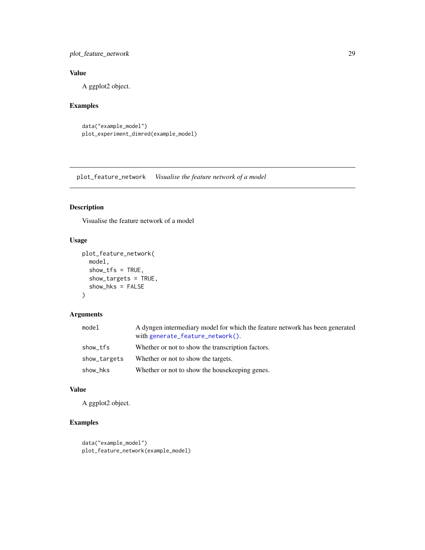<span id="page-28-0"></span>plot\_feature\_network 29

## Value

A ggplot2 object.

## Examples

```
data("example_model")
plot_experiment_dimred(example_model)
```
<span id="page-28-1"></span>plot\_feature\_network *Visualise the feature network of a model*

## Description

Visualise the feature network of a model

## Usage

```
plot_feature_network(
 model,
  show_tfs = TRUE,show_targets = TRUE,
  show_hks = FALSE
)
```
## Arguments

| model        | A dyngen intermediary model for which the feature network has been generated<br>with generate_feature_network(). |
|--------------|------------------------------------------------------------------------------------------------------------------|
| show_tfs     | Whether or not to show the transcription factors.                                                                |
| show_targets | Whether or not to show the targets.                                                                              |
| show_hks     | Whether or not to show the house keeping genes.                                                                  |

## Value

A ggplot2 object.

```
data("example_model")
plot_feature_network(example_model)
```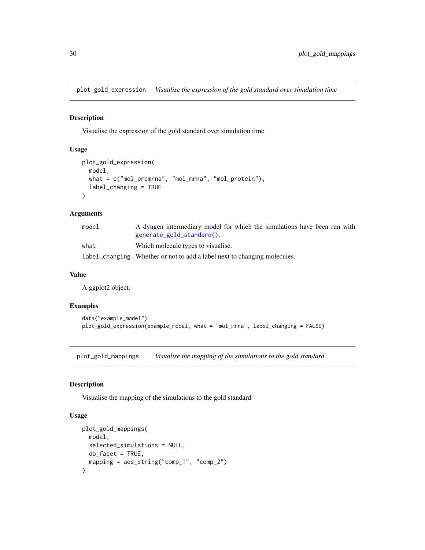<span id="page-29-2"></span><span id="page-29-0"></span>plot\_gold\_expression *Visualise the expression of the gold standard over simulation time*

## Description

Visualise the expression of the gold standard over simulation time

## Usage

```
plot_gold_expression(
 model,
 what = c("mol_premrna", "mol_mrna", "mol_protein"),
  label_changing = TRUE
)
```
## Arguments

| model | A dyngen intermediary model for which the simulations have been run with |
|-------|--------------------------------------------------------------------------|
|       | generate_gold_standard().                                                |
| what  | Which molecule types to visualise.                                       |
|       | label_changing Whether or not to add a label next to changing molecules. |

#### Value

A ggplot2 object.

#### Examples

```
data("example_model")
plot_gold_expression(example_model, what = "mol_mrna", label_changing = FALSE)
```
<span id="page-29-1"></span>plot\_gold\_mappings *Visualise the mapping of the simulations to the gold standard*

#### Description

Visualise the mapping of the simulations to the gold standard

```
plot_gold_mappings(
 model,
 selected_simulations = NULL,
 do_facet = TRUE,mapping = aes_string("comp_1", "comp_2")
)
```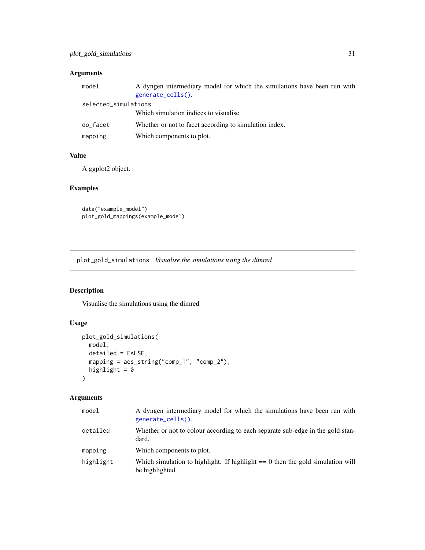## <span id="page-30-0"></span>Arguments

| model                | A dyngen intermediary model for which the simulations have been run with<br>generate_cells(). |
|----------------------|-----------------------------------------------------------------------------------------------|
| selected_simulations |                                                                                               |
|                      | Which simulation indices to visualise.                                                        |
| do_facet             | Whether or not to facet according to simulation index.                                        |
| mapping              | Which components to plot.                                                                     |

### Value

A ggplot2 object.

## Examples

data("example\_model") plot\_gold\_mappings(example\_model)

<span id="page-30-1"></span>plot\_gold\_simulations *Visualise the simulations using the dimred*

## Description

Visualise the simulations using the dimred

## Usage

```
plot_gold_simulations(
 model,
 detailed = FALSE,
 mapping = aes_string("comp_1", "comp_2"),
 highlight = 0)
```
## Arguments

| model     | A dyngen intermediary model for which the simulations have been run with<br>generate_cells().       |
|-----------|-----------------------------------------------------------------------------------------------------|
| detailed  | Whether or not to colour according to each separate sub-edge in the gold stan-<br>dard.             |
| mapping   | Which components to plot.                                                                           |
| highlight | Which simulation to highlight. If highlight $== 0$ then the gold simulation will<br>be highlighted. |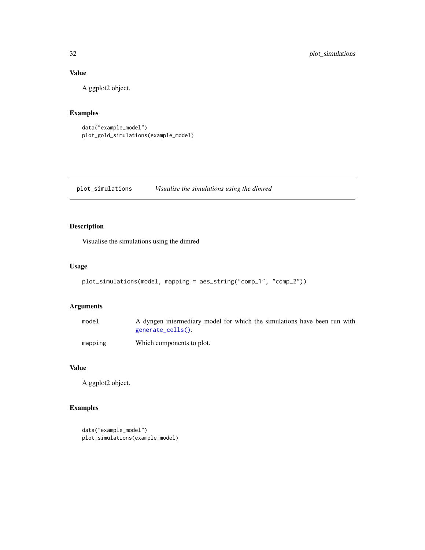## Value

A ggplot2 object.

## Examples

```
data("example_model")
plot_gold_simulations(example_model)
```
<span id="page-31-1"></span>plot\_simulations *Visualise the simulations using the dimred*

## Description

Visualise the simulations using the dimred

## Usage

```
plot_simulations(model, mapping = aes_string("comp_1", "comp_2"))
```
## Arguments

| model   | A dyngen intermediary model for which the simulations have been run with<br>generate_cells(). |
|---------|-----------------------------------------------------------------------------------------------|
| mapping | Which components to plot.                                                                     |

#### Value

A ggplot2 object.

```
data("example_model")
plot_simulations(example_model)
```
<span id="page-31-0"></span>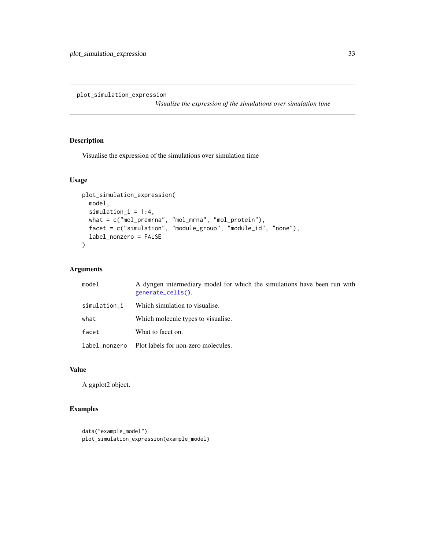<span id="page-32-1"></span><span id="page-32-0"></span>plot\_simulation\_expression

*Visualise the expression of the simulations over simulation time*

## Description

Visualise the expression of the simulations over simulation time

#### Usage

```
plot_simulation_expression(
  model,
  simulation_i = 1:4,
  what = c("mol_premrna", "mol_mrna", "mol_protein"),
  facet = c("simulation", "module_group", "module_id", "none"),
  label_nonzero = FALSE
\overline{\phantom{a}}
```
#### Arguments

| model        | A dyngen intermediary model for which the simulations have been run with<br>generate_cells(). |
|--------------|-----------------------------------------------------------------------------------------------|
| simulation_i | Which simulation to visualise.                                                                |
| what         | Which molecule types to visualise.                                                            |
| facet        | What to facet on.                                                                             |
|              | label_nonzero Plot labels for non-zero molecules.                                             |

#### Value

A ggplot2 object.

```
data("example_model")
plot_simulation_expression(example_model)
```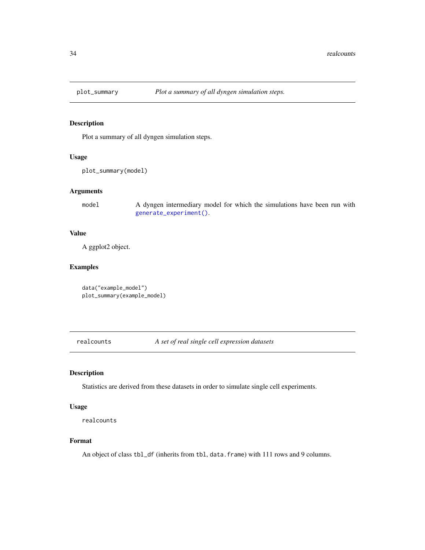<span id="page-33-1"></span><span id="page-33-0"></span>

Plot a summary of all dyngen simulation steps.

#### Usage

plot\_summary(model)

## Arguments

model A dyngen intermediary model for which the simulations have been run with [generate\\_experiment\(\)](#page-14-1).

### Value

A ggplot2 object.

## Examples

```
data("example_model")
plot_summary(example_model)
```
<span id="page-33-2"></span>realcounts *A set of real single cell expression datasets*

## Description

Statistics are derived from these datasets in order to simulate single cell experiments.

#### Usage

realcounts

#### Format

An object of class tbl\_df (inherits from tbl, data.frame) with 111 rows and 9 columns.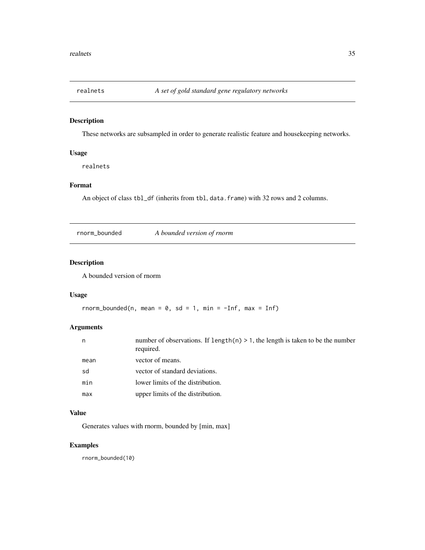<span id="page-34-1"></span><span id="page-34-0"></span>

These networks are subsampled in order to generate realistic feature and housekeeping networks.

## Usage

realnets

#### Format

An object of class tbl\_df (inherits from tbl, data.frame) with 32 rows and 2 columns.

<span id="page-34-2"></span>rnorm\_bounded *A bounded version of rnorm*

## Description

A bounded version of rnorm

## Usage

```
rnorm_bounded(n, mean = 0, sd = 1, min = -Inf, max = Inf)
```
## Arguments

| number of observations. If $length(n) > 1$ , the length is taken to be the number<br>required. |
|------------------------------------------------------------------------------------------------|
| vector of means.                                                                               |
| vector of standard deviations.                                                                 |
| lower limits of the distribution.                                                              |
| upper limits of the distribution.                                                              |
|                                                                                                |

## Value

Generates values with rnorm, bounded by [min, max]

## Examples

rnorm\_bounded(10)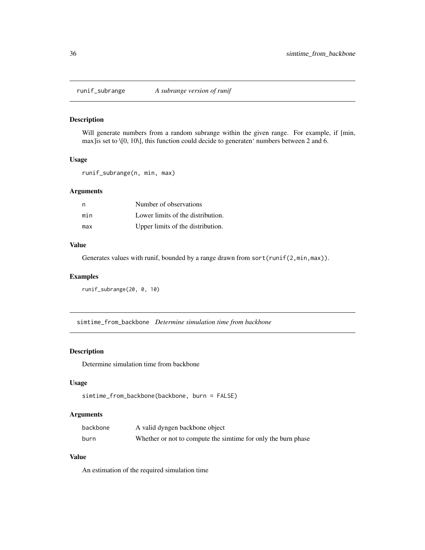<span id="page-35-2"></span><span id="page-35-0"></span>

Will generate numbers from a random subrange within the given range. For example, if [min, max]is set to \[0, 10\], this function could decide to generaten' numbers between 2 and 6.

## Usage

runif\_subrange(n, min, max)

## Arguments

| n   | Number of observations            |
|-----|-----------------------------------|
| min | Lower limits of the distribution. |
| max | Upper limits of the distribution. |

#### Value

Generates values with runif, bounded by a range drawn from sort(runif(2,min,max)).

#### Examples

```
runif_subrange(20, 0, 10)
```
<span id="page-35-1"></span>simtime\_from\_backbone *Determine simulation time from backbone*

## Description

Determine simulation time from backbone

#### Usage

```
simtime_from_backbone(backbone, burn = FALSE)
```
#### Arguments

| backbone | A valid dyngen backbone object                                |
|----------|---------------------------------------------------------------|
| burn     | Whether or not to compute the similme for only the burn phase |

## Value

An estimation of the required simulation time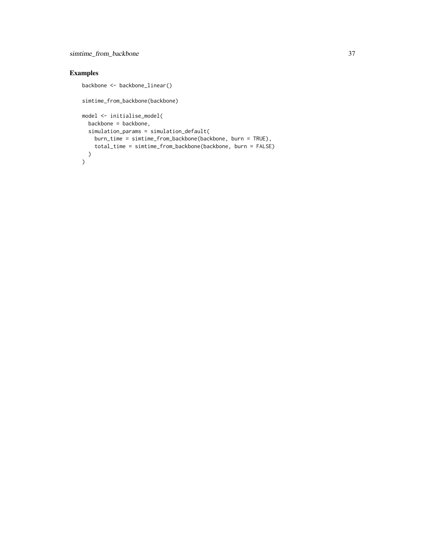## simtime\_from\_backbone 37

```
backbone <- backbone_linear()
simtime_from_backbone(backbone)
model <- initialise_model(
  backbone = backbone,
  simulation_params = simulation_default(
    burn_time = simtime_from_backbone(backbone, burn = TRUE),
    total_time = simtime_from_backbone(backbone, burn = FALSE)
 )
\overline{)}
```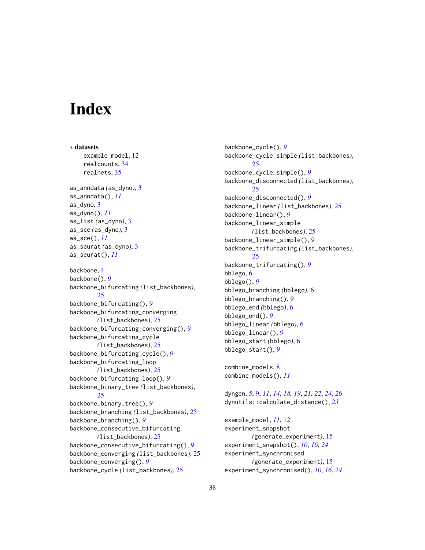# <span id="page-37-0"></span>**Index**

∗ datasets example\_model, [12](#page-11-0) realcounts, [34](#page-33-0) realnets, [35](#page-34-0) as\_anndata *(*as\_dyno*)*, [3](#page-2-0) as\_anndata(), *[11](#page-10-0)* as\_dyno, [3](#page-2-0) as\_dyno(), *[11](#page-10-0)* as\_list *(*as\_dyno*)*, [3](#page-2-0) as\_sce *(*as\_dyno*)*, [3](#page-2-0) as\_sce(), *[11](#page-10-0)* as\_seurat *(*as\_dyno*)*, [3](#page-2-0) as\_seurat(), *[11](#page-10-0)* backbone, [4](#page-3-0) backbone(), *[9](#page-8-0)* backbone\_bifurcating *(*list\_backbones*)*, [25](#page-24-0) backbone\_bifurcating(), *[9](#page-8-0)* backbone\_bifurcating\_converging *(*list\_backbones*)*, [25](#page-24-0) backbone\_bifurcating\_converging(), *[9](#page-8-0)* backbone\_bifurcating\_cycle *(*list\_backbones*)*, [25](#page-24-0) backbone\_bifurcating\_cycle(), *[9](#page-8-0)* backbone\_bifurcating\_loop *(*list\_backbones*)*, [25](#page-24-0) backbone\_bifurcating\_loop(), *[9](#page-8-0)* backbone\_binary\_tree *(*list\_backbones*)*, [25](#page-24-0) backbone\_binary\_tree(), *[9](#page-8-0)* backbone\_branching *(*list\_backbones*)*, [25](#page-24-0) backbone\_branching(), *[9](#page-8-0)* backbone\_consecutive\_bifurcating *(*list\_backbones*)*, [25](#page-24-0) backbone\_consecutive\_bifurcating(), *[9](#page-8-0)* backbone\_converging *(*list\_backbones*)*, [25](#page-24-0) backbone\_converging(), *[9](#page-8-0)* backbone\_cycle *(*list\_backbones*)*, [25](#page-24-0)

backbone\_cycle(), *[9](#page-8-0)* backbone\_cycle\_simple *(*list\_backbones*)*, [25](#page-24-0) backbone\_cycle\_simple(), *[9](#page-8-0)* backbone\_disconnected *(*list\_backbones*)*, [25](#page-24-0) backbone\_disconnected(), *[9](#page-8-0)* backbone\_linear *(*list\_backbones*)*, [25](#page-24-0) backbone\_linear(), *[9](#page-8-0)* backbone\_linear\_simple *(*list\_backbones*)*, [25](#page-24-0) backbone\_linear\_simple(), *[9](#page-8-0)* backbone\_trifurcating *(*list\_backbones*)*, [25](#page-24-0) backbone\_trifurcating(), *[9](#page-8-0)* bblego, [6](#page-5-0) bblego(), *[9](#page-8-0)* bblego\_branching *(*bblego*)*, [6](#page-5-0) bblego\_branching(), *[9](#page-8-0)* bblego\_end *(*bblego*)*, [6](#page-5-0) bblego\_end(), *[9](#page-8-0)* bblego\_linear *(*bblego*)*, [6](#page-5-0) bblego\_linear(), *[9](#page-8-0)* bblego\_start *(*bblego*)*, [6](#page-5-0) bblego\_start(), *[9](#page-8-0)*

combine\_models, [8](#page-7-0) combine\_models(), *[11](#page-10-0)*

dyngen, *[5](#page-4-0)*, [9,](#page-8-0) *[11](#page-10-0)*, *[14](#page-13-0)*, *[18,](#page-17-0) [19](#page-18-0)*, *[21,](#page-20-0) [22](#page-21-0)*, *[24](#page-23-0)*, *[26](#page-25-0)* dynutils::calculate\_distance(), *[23](#page-22-0)*

example\_model, *[11](#page-10-0)*, [12](#page-11-0) experiment\_snapshot *(*generate\_experiment*)*, [15](#page-14-0) experiment\_snapshot(), *[10](#page-9-0)*, *[16](#page-15-0)*, *[24](#page-23-0)* experiment\_synchronised *(*generate\_experiment*)*, [15](#page-14-0) experiment\_synchronised(), *[10](#page-9-0)*, *[16](#page-15-0)*, *[24](#page-23-0)*